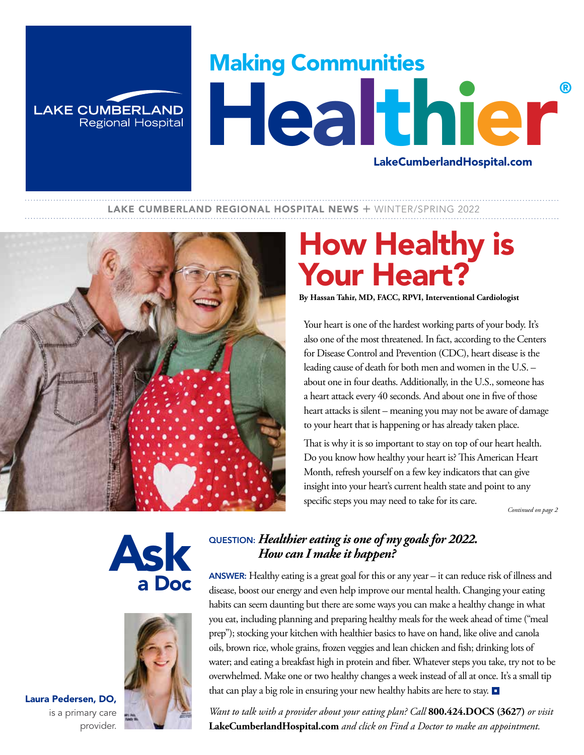# Making Communities Healthier LakeCumberlandHospital.com

#### LAKE CUMBERLAND REGIONAL HOSPITAL NEWS + WINTER/SPRING 2022



**LAKE CUMBERLAND** 

**Regional Hospital** 

## How Healthy is Your Heart?

**By Hassan Tahir, MD, FACC, RPVI, Interventional Cardiologist**

Your heart is one of the hardest working parts of your body. It's also one of the most threatened. In fact, according to the Centers for Disease Control and Prevention (CDC), heart disease is the leading cause of death for both men and women in the U.S. – about one in four deaths. Additionally, in the U.S., someone has a heart attack every 40 seconds. And about one in five of those heart attacks is silent – meaning you may not be aware of damage to your heart that is happening or has already taken place.

That is why it is so important to stay on top of our heart health. Do you know how healthy your heart is? This American Heart Month, refresh yourself on a few key indicators that can give insight into your heart's current health state and point to any specific steps you may need to take for its care.

 *Continued on page 2*





### QUESTION: *Healthier eating is one of my goals for 2022. How can I make it happen?*

ANSWER: Healthy eating is a great goal for this or any year – it can reduce risk of illness and disease, boost our energy and even help improve our mental health. Changing your eating habits can seem daunting but there are some ways you can make a healthy change in what you eat, including planning and preparing healthy meals for the week ahead of time ("meal prep"); stocking your kitchen with healthier basics to have on hand, like olive and canola oils, brown rice, whole grains, frozen veggies and lean chicken and fish; drinking lots of water; and eating a breakfast high in protein and fiber. Whatever steps you take, try not to be overwhelmed. Make one or two healthy changes a week instead of all at once. It's a small tip that can play a big role in ensuring your new healthy habits are here to stay.

*Want to talk with a provider about your eating plan? Call* **800.424.DOCS (3627)** *or visit*  **LakeCumberlandHospital.com** *and click on Find a Doctor to make an appointment.*

Laura Pedersen, DO, is a primary care provider.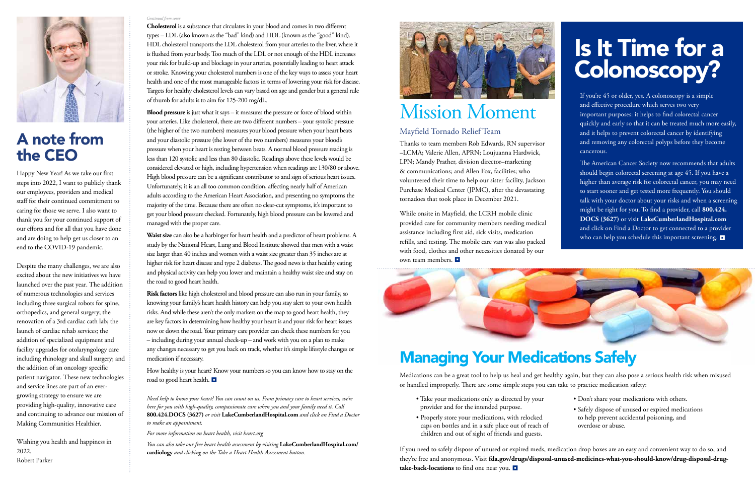

### A note from the CEO

Happy New Year! As we take our first steps into 2022, I want to publicly thank our employees, providers and medical staff for their continued commitment to caring for those we serve. I also want to thank you for your continued support of our efforts and for all that you have done and are doing to help get us closer to an end to the COVID-19 pandemic.

Despite the many challenges, we are also excited about the new initiatives we have launched over the past year. The addition of numerous technologies and services including three surgical robots for spine, orthopedics, and general surgery; the renovation of a 3rd cardiac cath lab; the launch of cardiac rehab services; the addition of specialized equipment and facility upgrades for otolaryngology care including rhinology and skull surgery; and the addition of an oncology specific patient navigator. These new technologies and service lines are part of an evergrowing strategy to ensure we are providing high-quality, innovative care and continuing to advance our mission of Making Communities Healthier.

Wishing you health and happiness in 2022,

Robert Parker

#### *Continued from cove*

**Cholesterol** is a substance that circulates in your blood and comes in two different types – LDL (also known as the "bad" kind) and HDL (known as the "good" kind). HDL cholesterol transports the LDL cholesterol from your arteries to the liver, where it is flushed from your body. Too much of the LDL or not enough of the HDL increases your risk for build-up and blockage in your arteries, potentially leading to heart attack or stroke. Knowing your cholesterol numbers is one of the key ways to assess your heart health and one of the most manageable factors in terms of lowering your risk for disease. Targets for healthy cholesterol levels can vary based on age and gender but a general rule of thumb for adults is to aim for 125-200 mg/dL.

**Blood pressure** is just what it says – it measures the pressure or force of blood within your arteries. Like cholesterol, there are two different numbers – your systolic pressure (the higher of the two numbers) measures your blood pressure when your heart beats and your diastolic pressure (the lower of the two numbers) measures your blood's pressure when your heart is resting between beats. A normal blood pressure reading is less than 120 systolic and less than 80 diastolic. Readings above these levels would be considered elevated or high, including hypertension when readings are 130/80 or above. High blood pressure can be a significant contributor to and sign of serious heart issues. Unfortunately, it is an all too common condition, affecting nearly half of American adults according to the American Heart Association, and presenting no symptoms the majority of the time. Because there are often no clear-cut symptoms, it's important to get your blood pressure checked. Fortunately, high blood pressure can be lowered and managed with the proper care.

The American Cancer Society now recommends that adults should begin colorectal screening at age 45. If you have a higher than average risk for colorectal cancer, you may need to start sooner and get tested more frequently. You should talk with your doctor about your risks and when a screening might be right for you. To find a provider, call **800.424. DOCS (3627)** or visit **LakeCumberlandHospital.com** and click on Find a Doctor to get connected to a provider who can help you schedule this important screening.

**Waist size** can also be a harbinger for heart health and a predictor of heart problems. A study by the National Heart, Lung and Blood Institute showed that men with a waist size larger than 40 inches and women with a waist size greater than 35 inches are at higher risk for heart disease and type 2 diabetes. The good news is that healthy eating and physical activity can help you lower and maintain a healthy waist size and stay on the road to good heart health.

**Risk factors** like high cholesterol and blood pressure can also run in your family, so knowing your family's heart health history can help you stay alert to your own health risks. And while these aren't the only markers on the map to good heart health, they are key factors in determining how healthy your heart is and your risk for heart issues now or down the road. Your primary care provider can check these numbers for you – including during your annual check-up – and work with you on a plan to make any changes necessary to get you back on track, whether it's simple lifestyle changes or medication if necessary.

How healthy is your heart? Know your numbers so you can know how to stay on the road to good heart health.

*Need help to know your heart? You can count on us. From primary care to heart services, we're here for you with high-quality, compassionate care when you and your family need it. Call*  **800.424.DOCS (3627)** *or visit* **LakeCumberlandHospital.com** *and click on Find a Doctor to make an appointment.* 

*For more information on heart health, visit heart.org*

*You can also take our free heart health assessment by visiting* **LakeCumberlandHospital.com/ cardiology** *and clicking on the Take a Heart Health Assessment button.*



## Mission Moment

### Mayfield Tornado Relief Team

Thanks to team members Rob Edwards, RN supervisor –LCMA; Valerie Allen, APRN; Loujuanna Hardwick, LPN; Mandy Prather, division director–marketing & communications; and Allen Fox, facilities; who volunteered their time to help our sister facility, Jackson Purchase Medical Center (JPMC), after the devastating tornadoes that took place in December 2021.

While onsite in Mayfield, the LCRH mobile clinic provided care for community members needing medical assistance including first aid, sick visits, medication refills, and testing. The mobile care van was also packed with food, clothes and other necessities donated by our own team members.



# Is It Time for a Colonoscopy?

If you're 45 or older, yes. A colonoscopy is a simple and effective procedure which serves two very important purposes: it helps to find colorectal cancer quickly and early so that it can be treated much more easily, and it helps to prevent colorectal cancer by identifying and removing any colorectal polyps before they become cancerous.

## Managing Your Medications Safely

Medications can be a great tool to help us heal and get healthy again, but they can also pose a serious health risk when misused or handled improperly. There are some simple steps you can take to practice medication safety:

If you need to safely dispose of unused or expired meds, medication drop boxes are an easy and convenient way to do so, and they're free and anonymous. Visit **fda.gov/drugs/disposal-unused-medicines-what-you-should-know/drug-disposal-drugtake-back-locations** to find one near you.

- Take your medications only as directed by your provider and for the intended purpose.
- Properly store your medications, with relocked caps on bottles and in a safe place out of reach of children and out of sight of friends and guests.
- Don't share your medications with others.
- Safely dispose of unused or expired medications to help prevent accidental poisoning, and overdose or abuse.